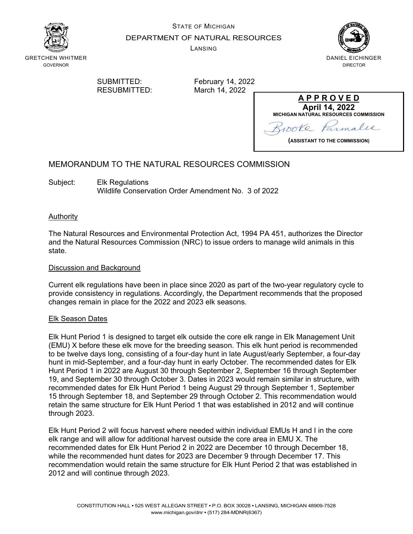

STATE OF MICHIGAN

DEPARTMENT OF NATURAL RESOURCES

LANSING



GRETCHEN WHITMER GOVERNOR

RESUBMITTED:

SUBMITTED: February 14, 2022<br>RESUBMITTED: March 14, 2022

**A P P R O V E D April 14, 2022 MICHIGAN NATURAL RESOURCES COMMISSION** poke imalle

**(ASSISTANT TO THE COMMISSION)**

### MEMORANDUM TO THE NATURAL RESOURCES COMMISSION

Subject: Elk Regulations Wildlife Conservation Order Amendment No. 3 of 2022

#### Authority

The Natural Resources and Environmental Protection Act, 1994 PA 451, authorizes the Director and the Natural Resources Commission (NRC) to issue orders to manage wild animals in this state.

#### Discussion and Background

Current elk regulations have been in place since 2020 as part of the two-year regulatory cycle to provide consistency in regulations. Accordingly, the Department recommends that the proposed changes remain in place for the 2022 and 2023 elk seasons.

#### Elk Season Dates

Elk Hunt Period 1 is designed to target elk outside the core elk range in Elk Management Unit (EMU) X before these elk move for the breeding season. This elk hunt period is recommended to be twelve days long, consisting of a four-day hunt in late August/early September, a four-day hunt in mid-September, and a four-day hunt in early October. The recommended dates for Elk Hunt Period 1 in 2022 are August 30 through September 2, September 16 through September 19, and September 30 through October 3. Dates in 2023 would remain similar in structure, with recommended dates for Elk Hunt Period 1 being August 29 through September 1, September 15 through September 18, and September 29 through October 2. This recommendation would retain the same structure for Elk Hunt Period 1 that was established in 2012 and will continue through 2023.

Elk Hunt Period 2 will focus harvest where needed within individual EMUs H and I in the core elk range and will allow for additional harvest outside the core area in EMU X. The recommended dates for Elk Hunt Period 2 in 2022 are December 10 through December 18, while the recommended hunt dates for 2023 are December 9 through December 17. This recommendation would retain the same structure for Elk Hunt Period 2 that was established in 2012 and will continue through 2023.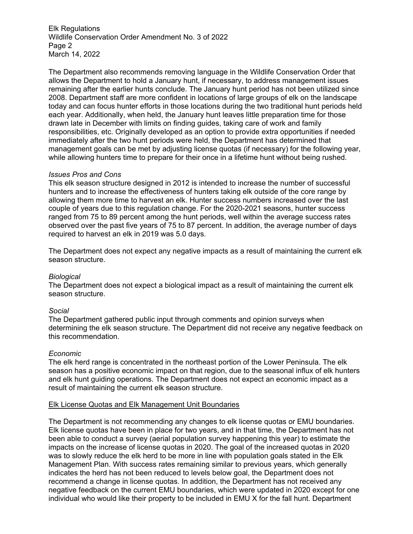Elk Regulations Wildlife Conservation Order Amendment No. 3 of 2022 Page 2 March 14, 2022

The Department also recommends removing language in the Wildlife Conservation Order that allows the Department to hold a January hunt, if necessary, to address management issues remaining after the earlier hunts conclude. The January hunt period has not been utilized since 2008. Department staff are more confident in locations of large groups of elk on the landscape today and can focus hunter efforts in those locations during the two traditional hunt periods held each year. Additionally, when held, the January hunt leaves little preparation time for those drawn late in December with limits on finding guides, taking care of work and family responsibilities, etc. Originally developed as an option to provide extra opportunities if needed immediately after the two hunt periods were held, the Department has determined that management goals can be met by adjusting license quotas (if necessary) for the following year, while allowing hunters time to prepare for their once in a lifetime hunt without being rushed.

#### *Issues Pros and Cons*

This elk season structure designed in 2012 is intended to increase the number of successful hunters and to increase the effectiveness of hunters taking elk outside of the core range by allowing them more time to harvest an elk. Hunter success numbers increased over the last couple of years due to this regulation change. For the 2020-2021 seasons, hunter success ranged from 75 to 89 percent among the hunt periods, well within the average success rates observed over the past five years of 75 to 87 percent. In addition, the average number of days required to harvest an elk in 2019 was 5.0 days.

The Department does not expect any negative impacts as a result of maintaining the current elk season structure.

#### *Biological*

The Department does not expect a biological impact as a result of maintaining the current elk season structure.

#### *Social*

The Department gathered public input through comments and opinion surveys when determining the elk season structure. The Department did not receive any negative feedback on this recommendation.

#### *Economic*

The elk herd range is concentrated in the northeast portion of the Lower Peninsula. The elk season has a positive economic impact on that region, due to the seasonal influx of elk hunters and elk hunt guiding operations. The Department does not expect an economic impact as a result of maintaining the current elk season structure.

#### Elk License Quotas and Elk Management Unit Boundaries

The Department is not recommending any changes to elk license quotas or EMU boundaries. Elk license quotas have been in place for two years, and in that time, the Department has not been able to conduct a survey (aerial population survey happening this year) to estimate the impacts on the increase of license quotas in 2020. The goal of the increased quotas in 2020 was to slowly reduce the elk herd to be more in line with population goals stated in the Elk Management Plan. With success rates remaining similar to previous years, which generally indicates the herd has not been reduced to levels below goal, the Department does not recommend a change in license quotas. In addition, the Department has not received any negative feedback on the current EMU boundaries, which were updated in 2020 except for one individual who would like their property to be included in EMU X for the fall hunt. Department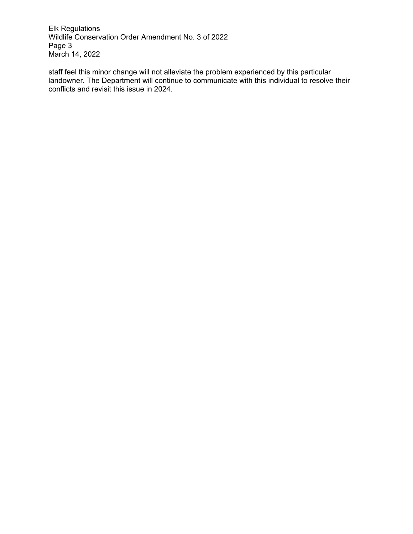Elk Regulations Wildlife Conservation Order Amendment No. 3 of 2022 Page 3 March 14, 2022

staff feel this minor change will not alleviate the problem experienced by this particular landowner. The Department will continue to communicate with this individual to resolve their conflicts and revisit this issue in 2024.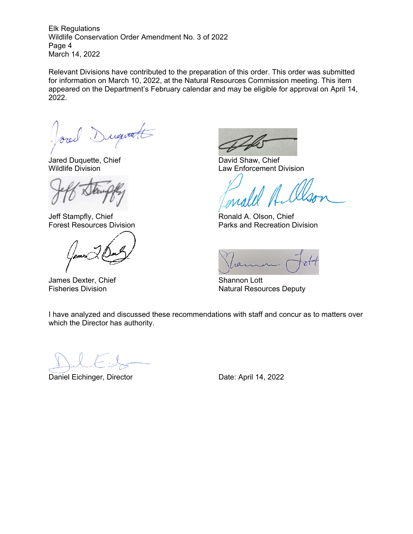Elk Regulations Wildlife Conservation Order Amendment No. 3 of 2022 Page 4 March 14, 2022

Relevant Divisions have contributed to the preparation of this order. This order was submitted for information on March 10, 2022, at the Natural Resources Commission meeting. This item appeared on the Department's February calendar and may be eligible for approval on April 14, 2022.

Dugitatt

Jared Duquette, Chief David Shaw, Chief David Shaw, Chief David Shaw, Chief David Shaw, Chief David Shaw, Chief

James Dexter, Chief Shannon Lott

Law Enforcement Division

Jeff Stampfly, Chief **Ronald A. Olson, Chief** Ronald A. Olson, Chief Forest Resources Division **Parks** and Recreation Division

 $1011$ 

Fisheries Division **Natural Resources Deputy** Natural Resources Deputy

I have analyzed and discussed these recommendations with staff and concur as to matters over which the Director has authority.

Daniel Eichinger, Director **Date: April 14, 2022**